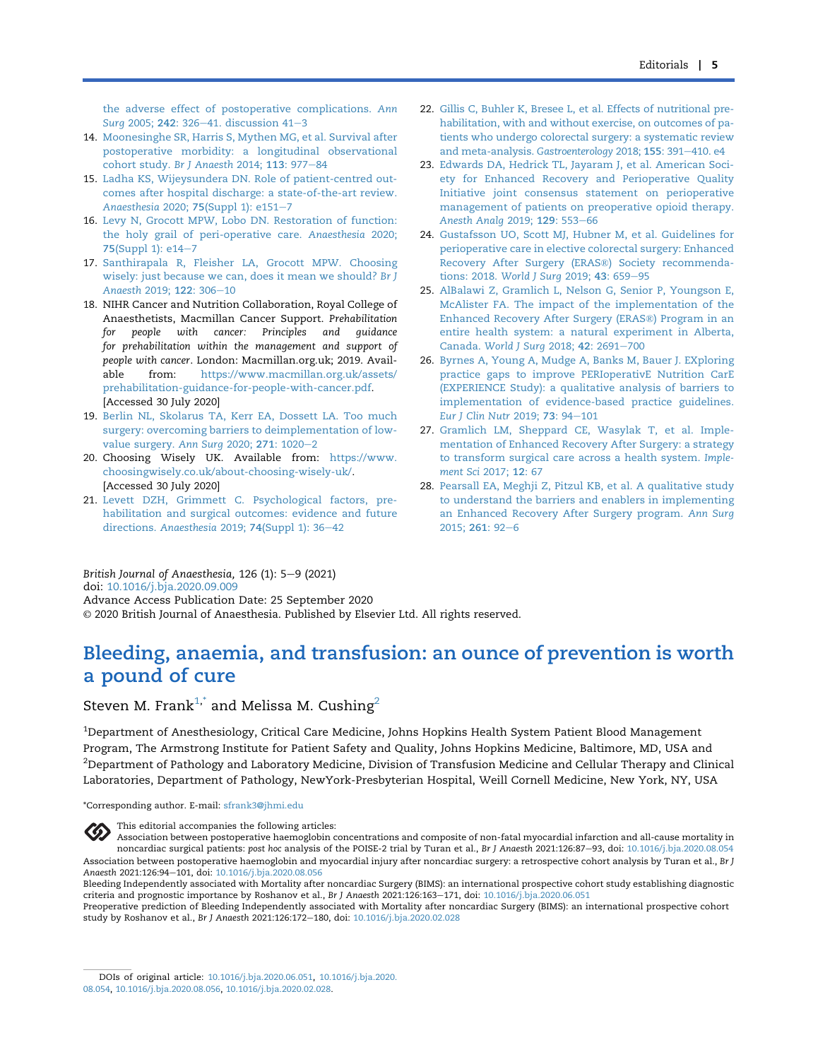[the adverse effect of postoperative complications.](http://refhub.elsevier.com/S0007-0912(20)30747-9/sref13) Ann Surg [2005;](http://refhub.elsevier.com/S0007-0912(20)30747-9/sref13) 242: 326-[41. discussion 41](http://refhub.elsevier.com/S0007-0912(20)30747-9/sref13)-[3](http://refhub.elsevier.com/S0007-0912(20)30747-9/sref13)

- 14. [Moonesinghe SR, Harris S, Mythen MG, et al. Survival after](http://refhub.elsevier.com/S0007-0912(20)30747-9/sref14) [postoperative morbidity: a longitudinal observational](http://refhub.elsevier.com/S0007-0912(20)30747-9/sref14) [cohort study.](http://refhub.elsevier.com/S0007-0912(20)30747-9/sref14) Br J Anaesth 2014; 113: 977-[84](http://refhub.elsevier.com/S0007-0912(20)30747-9/sref14)
- 15. [Ladha KS, Wijeysundera DN. Role of patient-centred out](http://refhub.elsevier.com/S0007-0912(20)30747-9/sref15)[comes after hospital discharge: a state-of-the-art review.](http://refhub.elsevier.com/S0007-0912(20)30747-9/sref15) Anaesthesia 2020; 75[\(Suppl 1\): e151](http://refhub.elsevier.com/S0007-0912(20)30747-9/sref15)-[7](http://refhub.elsevier.com/S0007-0912(20)30747-9/sref15)
- 16. [Levy N, Grocott MPW, Lobo DN. Restoration of function:](http://refhub.elsevier.com/S0007-0912(20)30747-9/sref16) [the holy grail of peri-operative care.](http://refhub.elsevier.com/S0007-0912(20)30747-9/sref16) Anaesthesia 2020; 75[\(Suppl 1\): e14](http://refhub.elsevier.com/S0007-0912(20)30747-9/sref16)-[7](http://refhub.elsevier.com/S0007-0912(20)30747-9/sref16)
- 17. [Santhirapala R, Fleisher LA, Grocott MPW. Choosing](http://refhub.elsevier.com/S0007-0912(20)30747-9/sref17) [wisely: just because we can, does it mean we should?](http://refhub.elsevier.com/S0007-0912(20)30747-9/sref17) Br J [Anaesth](http://refhub.elsevier.com/S0007-0912(20)30747-9/sref17) 2019; 122: 306-[10](http://refhub.elsevier.com/S0007-0912(20)30747-9/sref17)
- 18. NIHR Cancer and Nutrition Collaboration, Royal College of Anaesthetists, Macmillan Cancer Support. Prehabilitation for people with cancer: Principles and guidance for prehabilitation within the management and support of people with cancer. London: Macmillan.org.uk; 2019. Available from: [https://www.macmillan.org.uk/assets/](https://www.macmillan.org.uk/assets/prehabilitation-guidance-for-people-with-cancer.pdf) [prehabilitation-guidance-for-people-with-cancer.pdf](https://www.macmillan.org.uk/assets/prehabilitation-guidance-for-people-with-cancer.pdf). [Accessed 30 July 2020]
- 19. [Berlin NL, Skolarus TA, Kerr EA, Dossett LA. Too much](http://refhub.elsevier.com/S0007-0912(20)30747-9/sref19) [surgery: overcoming barriers to deimplementation of low](http://refhub.elsevier.com/S0007-0912(20)30747-9/sref19)[value surgery.](http://refhub.elsevier.com/S0007-0912(20)30747-9/sref19) Ann Surg [2](http://refhub.elsevier.com/S0007-0912(20)30747-9/sref19)020; 271: 1020-2
- 20. Choosing Wisely UK. Available from: [https://www.](https://www.choosingwisely.co.uk/about-choosing-wisely-uk/) [choosingwisely.co.uk/about-choosing-wisely-uk/.](https://www.choosingwisely.co.uk/about-choosing-wisely-uk/) [Accessed 30 July 2020]
- 21. [Levett DZH, Grimmett C. Psychological factors, pre](http://refhub.elsevier.com/S0007-0912(20)30747-9/sref21)[habilitation and surgical outcomes: evidence and future](http://refhub.elsevier.com/S0007-0912(20)30747-9/sref21) directions. Anaesthesia 2019; 74[\(Suppl 1\): 36](http://refhub.elsevier.com/S0007-0912(20)30747-9/sref21)-[42](http://refhub.elsevier.com/S0007-0912(20)30747-9/sref21)
- 22. [Gillis C, Buhler K, Bresee L, et al. Effects of nutritional pre](http://refhub.elsevier.com/S0007-0912(20)30747-9/sref22)[habilitation, with and without exercise, on outcomes of pa](http://refhub.elsevier.com/S0007-0912(20)30747-9/sref22)[tients who undergo colorectal surgery: a systematic review](http://refhub.elsevier.com/S0007-0912(20)30747-9/sref22) [and meta-analysis.](http://refhub.elsevier.com/S0007-0912(20)30747-9/sref22) Gastroenterology 2018; 155: 391-[410. e4](http://refhub.elsevier.com/S0007-0912(20)30747-9/sref22)
- 23. [Edwards DA, Hedrick TL, Jayaram J, et al. American Soci](http://refhub.elsevier.com/S0007-0912(20)30747-9/sref23)[ety for Enhanced Recovery and Perioperative Quality](http://refhub.elsevier.com/S0007-0912(20)30747-9/sref23) [Initiative joint consensus statement on perioperative](http://refhub.elsevier.com/S0007-0912(20)30747-9/sref23) [management of patients on preoperative opioid therapy.](http://refhub.elsevier.com/S0007-0912(20)30747-9/sref23) Anesth Anala 2019: 129: 553-[66](http://refhub.elsevier.com/S0007-0912(20)30747-9/sref23)
- 24. [Gustafsson UO, Scott MJ, Hubner M, et al. Guidelines for](http://refhub.elsevier.com/S0007-0912(20)30747-9/sref24) [perioperative care in elective colorectal surgery: Enhanced](http://refhub.elsevier.com/S0007-0912(20)30747-9/sref24) [Recovery After Surgery \(ERAS](http://refhub.elsevier.com/S0007-0912(20)30747-9/sref24)®) Society recommenda-tions: 2018. [World J Surg](http://refhub.elsevier.com/S0007-0912(20)30747-9/sref24) 2019; 43: 659-[95](http://refhub.elsevier.com/S0007-0912(20)30747-9/sref24)
- 25. [AlBalawi Z, Gramlich L, Nelson G, Senior P, Youngson E,](http://refhub.elsevier.com/S0007-0912(20)30747-9/sref25) [McAlister FA. The impact of the implementation of the](http://refhub.elsevier.com/S0007-0912(20)30747-9/sref25) [Enhanced Recovery After Surgery \(ERAS](http://refhub.elsevier.com/S0007-0912(20)30747-9/sref25)®) Program in an [entire health system: a natural experiment in Alberta,](http://refhub.elsevier.com/S0007-0912(20)30747-9/sref25) Canada. [World J Surg](http://refhub.elsevier.com/S0007-0912(20)30747-9/sref25) 2018; 42: 2691-[700](http://refhub.elsevier.com/S0007-0912(20)30747-9/sref25)
- 26. [Byrnes A, Young A, Mudge A, Banks M, Bauer J. EXploring](http://refhub.elsevier.com/S0007-0912(20)30747-9/sref26) [practice gaps to improve PERIoperativE Nutrition CarE](http://refhub.elsevier.com/S0007-0912(20)30747-9/sref26) [\(EXPERIENCE Study\): a qualitative analysis of barriers to](http://refhub.elsevier.com/S0007-0912(20)30747-9/sref26) [implementation of evidence-based practice guidelines.](http://refhub.elsevier.com/S0007-0912(20)30747-9/sref26) [Eur J Clin Nutr](http://refhub.elsevier.com/S0007-0912(20)30747-9/sref26) 2019; 73: 94-[101](http://refhub.elsevier.com/S0007-0912(20)30747-9/sref26)
- 27. [Gramlich LM, Sheppard CE, Wasylak T, et al. Imple](http://refhub.elsevier.com/S0007-0912(20)30747-9/sref27)[mentation of Enhanced Recovery After Surgery: a strategy](http://refhub.elsevier.com/S0007-0912(20)30747-9/sref27) [to transform surgical care across a health system.](http://refhub.elsevier.com/S0007-0912(20)30747-9/sref27) Imple[ment Sci](http://refhub.elsevier.com/S0007-0912(20)30747-9/sref27) 2017; 12: 67
- 28. [Pearsall EA, Meghji Z, Pitzul KB, et al. A qualitative study](http://refhub.elsevier.com/S0007-0912(20)30747-9/sref28) [to understand the barriers and enablers in implementing](http://refhub.elsevier.com/S0007-0912(20)30747-9/sref28) [an Enhanced Recovery After Surgery program.](http://refhub.elsevier.com/S0007-0912(20)30747-9/sref28) Ann Surg [2015;](http://refhub.elsevier.com/S0007-0912(20)30747-9/sref28) 2[6](http://refhub.elsevier.com/S0007-0912(20)30747-9/sref28)1: 92-6

British Journal of Anaesthesia,  $126$  (1):  $5-9$  (2021)

doi: [10.1016/j.bja.2020.09.009](https://doi.org/10.1016/j.bja.2020.09.009)

Advance Access Publication Date: 25 September 2020

© 2020 British Journal of Anaesthesia. Published by Elsevier Ltd. All rights reserved.

## Bleeding, anaemia, and transfusion: an ounce of prevention is worth a pound of cure

### Steven M. Frank<sup>[1,](#page-0-0)\*</sup> and Melissa M. Cushing<sup>[2](#page-0-1)</sup>

<span id="page-0-1"></span><span id="page-0-0"></span> $^{\rm 1}$ Department of Anesthesiology, Critical Care Medicine, Johns Hopkins Health System Patient Blood Management Program, The Armstrong Institute for Patient Safety and Quality, Johns Hopkins Medicine, Baltimore, MD, USA and  $^2$ Department of Pathology and Laboratory Medicine, Division of Transfusion Medicine and Cellular Therapy and Clinical Laboratories, Department of Pathology, NewYork-Presbyterian Hospital, Weill Cornell Medicine, New York, NY, USA

\*Corresponding author. E-mail: [sfrank3@jhmi.edu](mailto:sfrank3@jhmi.edu)



#### This editorial accompanies the following articles:

Association between postoperative haemoglobin concentrations and composite of non-fatal myocardial infarction and all-cause mortality in noncardiac surgical patients: post hoc analysis of the POISE-2 trial by Turan et al., Br J Anaesth 2021:126:87-93, doi: [10.1016/j.bja.2020.08.054](http://10.1016/j.bja.2020.08.054) Association between postoperative haemoglobin and myocardial injury after noncardiac surgery: a retrospective cohort analysis by Turan et al., Br J Anaesth 2021:126:94-101, doi: [10.1016/j.bja.2020.08.056](http://10.1016/j.bja.2020.08.056)

Preoperative prediction of Bleeding Independently associated with Mortality after noncardiac Surgery (BIMS): an international prospective cohort study by Roshanov et al., Br J Anaesth 2021:126:172-180, doi: [10.1016/j.bja.2020.02.028](http://10.1016/j.bja.2020.02.028)

Bleeding Independently associated with Mortality after noncardiac Surgery (BIMS): an international prospective cohort study establishing diagnostic criteria and prognostic importance by Roshanov et al., Br J Anaesth 2021:126:163-171, doi: [10.1016/j.bja.2020.06.051](http://10.1016/j.bja.2020.06.051)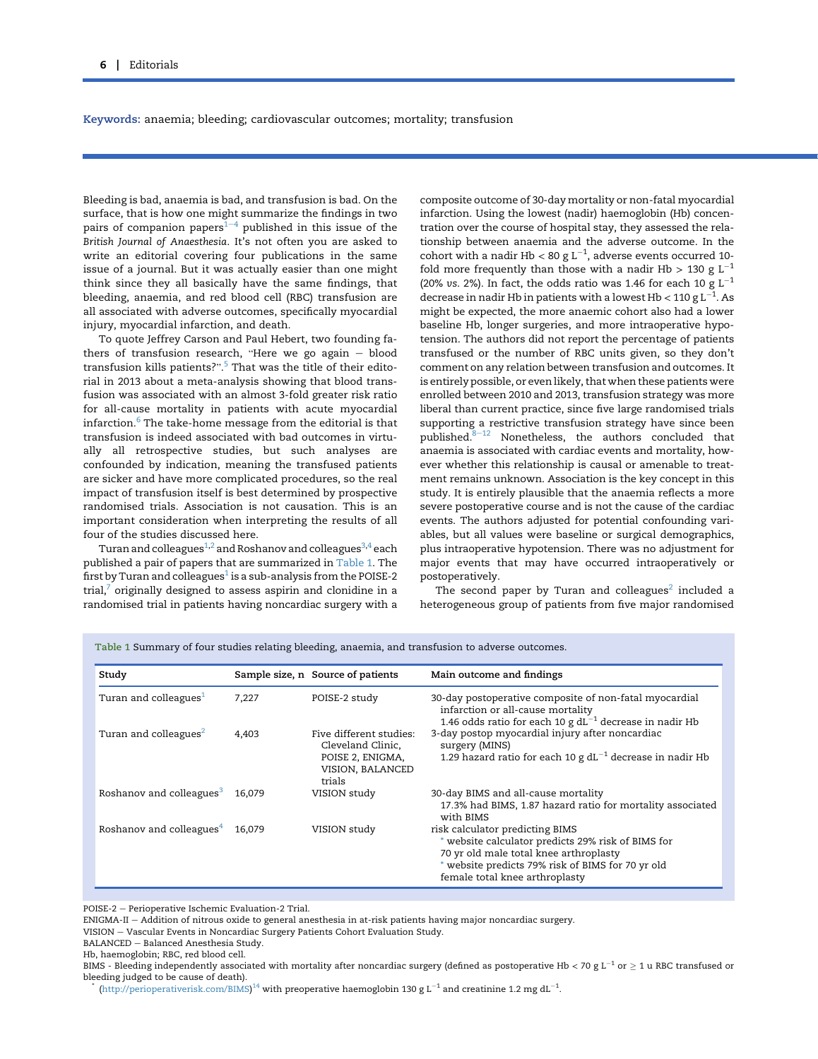Keywords: anaemia; bleeding; cardiovascular outcomes; mortality; transfusion

Bleeding is bad, anaemia is bad, and transfusion is bad. On the surface, that is how one might summarize the findings in two pairs of companion papers<sup> $1-4$  $1-4$  $1-4$ </sup> published in this issue of the British Journal of Anaesthesia. It's not often you are asked to write an editorial covering four publications in the same issue of a journal. But it was actually easier than one might think since they all basically have the same findings, that bleeding, anaemia, and red blood cell (RBC) transfusion are all associated with adverse outcomes, specifically myocardial injury, myocardial infarction, and death.

To quote Jeffrey Carson and Paul Hebert, two founding fathers of transfusion research, "Here we go again  $-$  blood thers of transfusion research, "Here we go again – blood<br>transfusion kills patients?".<sup>[5](#page-3-1)</sup> That was the title of their editorial in 2013 about a meta-analysis showing that blood transfusion was associated with an almost 3-fold greater risk ratio for all-cause mortality in patients with acute myocardial infarction. $6$  The take-home message from the editorial is that transfusion is indeed associated with bad outcomes in virtually all retrospective studies, but such analyses are confounded by indication, meaning the transfused patients are sicker and have more complicated procedures, so the real impact of transfusion itself is best determined by prospective randomised trials. Association is not causation. This is an important consideration when interpreting the results of all four of the studies discussed here.

Turan and colleagues<sup>1,[2](#page-3-3)</sup> and Roshanov and colleagues<sup>[3](#page-3-4)[,4](#page-3-5)</sup> each published a pair of papers that are summarized in [Table 1.](#page-1-0) The first by Turan and colleagues $1$  is a sub-analysis from the POISE-2 trial, $^7$  $^7$  originally designed to assess aspirin and clonidine in a randomised trial in patients having noncardiac surgery with a composite outcome of 30-day mortality or non-fatal myocardial infarction. Using the lowest (nadir) haemoglobin (Hb) concentration over the course of hospital stay, they assessed the relationship between anaemia and the adverse outcome. In the cohort with a nadir Hb < 80 g  $L^{-1}$ , adverse events occurred 10fold more frequently than those with a nadir Hb > 130 g  $L^{-1}$ (20% vs. 2%). In fact, the odds ratio was 1.46 for each 10 g  $\mathrm{L}^{-1}$ decrease in nadir Hb in patients with a lowest Hb < 110 g  $\mathtt{L}^{-1}$ . As might be expected, the more anaemic cohort also had a lower baseline Hb, longer surgeries, and more intraoperative hypotension. The authors did not report the percentage of patients transfused or the number of RBC units given, so they don't comment on any relation between transfusion and outcomes. It is entirely possible, or even likely, that when these patients were enrolled between 2010 and 2013, transfusion strategy was more liberal than current practice, since five large randomised trials supporting a restrictive transfusion strategy have since been published. $8-12$  $8-12$  $8-12$  Nonetheless, the authors concluded that anaemia is associated with cardiac events and mortality, however whether this relationship is causal or amenable to treatment remains unknown. Association is the key concept in this study. It is entirely plausible that the anaemia reflects a more severe postoperative course and is not the cause of the cardiac events. The authors adjusted for potential confounding variables, but all values were baseline or surgical demographics, plus intraoperative hypotension. There was no adjustment for major events that may have occurred intraoperatively or postoperatively.

The second paper by Turan and colleagues<sup>[2](#page-3-3)</sup> included a heterogeneous group of patients from five major randomised

Study Sample size, n Source of patients Main outcome and findings Turan and colleagues<sup>[1](#page-3-0)</sup> 7,227 POISE-2 study 30-day postoperative composite of non-fatal myocardial infarction or all-cause mortality 1.46 odds ratio for each 10 g  ${\rm dL}^{-1}$  decrease in nadir Hb Turan and colleagues<sup>[2](#page-3-3)</sup>  $4,403$  Five different studies: Cleveland Clinic, POISE 2, ENIGMA, VISION, BALANCED trials<br>VISION study 3-day postop myocardial injury after noncardiac surgery (MINS) 1.29 hazard ratio for each 10 g dL $^{-1}$  decrease in nadir Hb Roshanov and colleagues<sup>[3](#page-3-4)</sup> 16,079 VISION study 30-day BIMS and all-cause mortality 17.3% had BIMS, 1.87 hazard ratio for mortality associated with BIMS Roshanov and colleagues<sup>[4](#page-3-5)</sup> 16,079 VISION study risk calculator predicting BIMS \* website calculator predicts 29% risk of BIMS for 70 yr old male total knee arthroplasty \* website predicts 79% risk of BIMS for 70 yr old female total knee arthroplasty

<span id="page-1-0"></span>Table 1 Summary of four studies relating bleeding, anaemia, and transfusion to adverse outcomes.

POISE-2 - Perioperative Ischemic Evaluation-2 Trial.

ENIGMA-II - Addition of nitrous oxide to general anesthesia in at-risk patients having major noncardiac surgery.

VISION - Vascular Events in Noncardiac Surgery Patients Cohort Evaluation Study.

BALANCED - Balanced Anesthesia Study.

Hb, haemoglobin; RBC, red blood cell.

 $^*$  [\(http://perioperativerisk.com/BIMS\)](http://perioperativerisk.com/BIMS) $^\text{14}$  $^\text{14}$  $^\text{14}$  with preoperative haemoglobin 130 g L $^{-1}$  and creatinine 1.2 mg dL $^{-1}$ .

BIMS - Bleeding independently associated with mortality after noncardiac surgery (defined as postoperative Hb < 70 g L<sup>-1</sup> or  $\geq$  1 u RBC transfused or bleeding judged to be cause of death).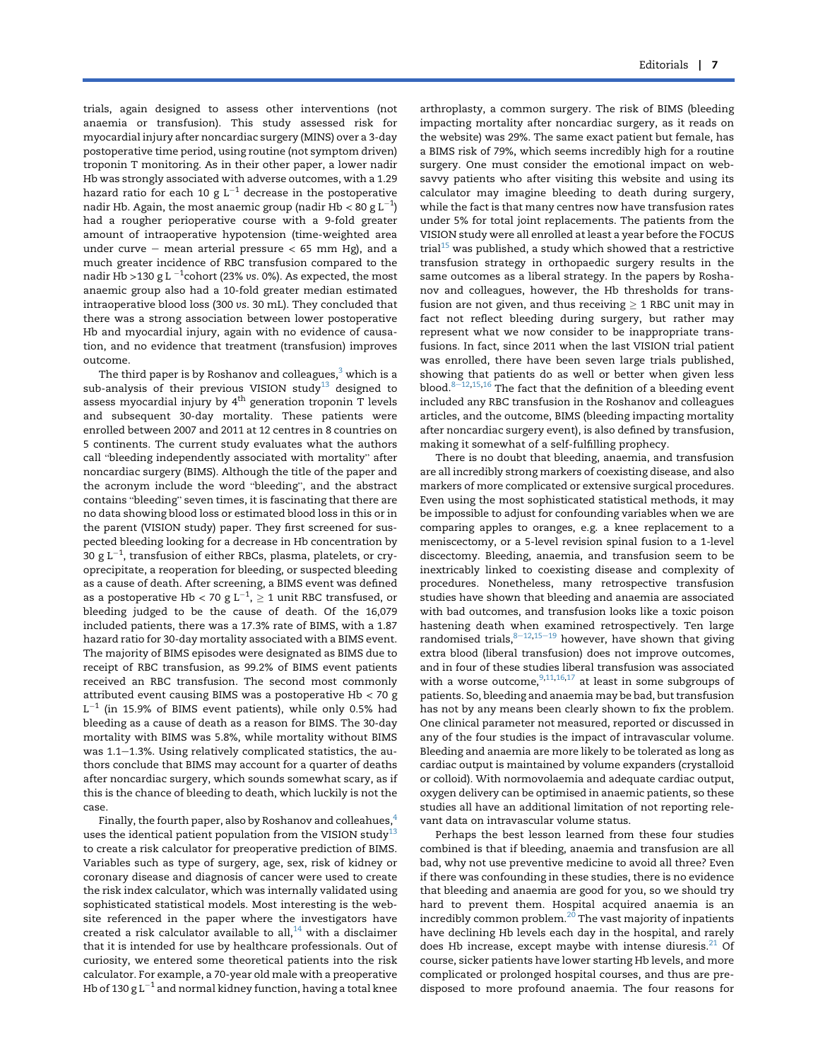trials, again designed to assess other interventions (not anaemia or transfusion). This study assessed risk for myocardial injury after noncardiac surgery (MINS) over a 3-day postoperative time period, using routine (not symptom driven) troponin T monitoring. As in their other paper, a lower nadir Hb was strongly associated with adverse outcomes, with a 1.29 hazard ratio for each 10 g  $L^{-1}$  decrease in the postoperative nadir Hb. Again, the most anaemic group (nadir Hb < 80 g  $\mathtt{L}^{-1}$ ) had a rougher perioperative course with a 9-fold greater amount of intraoperative hypotension (time-weighted area under curve – mean arterial pressure  $<$  65 mm Hg), and a much greater incidence of RBC transfusion compared to the nadir Hb >130 g L  $^{-1}$ cohort (23% vs. 0%). As expected, the most anaemic group also had a 10-fold greater median estimated intraoperative blood loss (300 vs. 30 mL). They concluded that there was a strong association between lower postoperative Hb and myocardial injury, again with no evidence of causation, and no evidence that treatment (transfusion) improves outcome.

The third paper is by Roshanov and colleagues, $3$  which is a sub-analysis of their previous VISION study<sup>[13](#page-3-9)</sup> designed to assess myocardial injury by 4<sup>th</sup> generation troponin T levels and subsequent 30-day mortality. These patients were enrolled between 2007 and 2011 at 12 centres in 8 countries on 5 continents. The current study evaluates what the authors call "bleeding independently associated with mortality" after noncardiac surgery (BIMS). Although the title of the paper and the acronym include the word "bleeding", and the abstract the acronym include the word "bleeding", and the abstract contains "bleeding" seven times, it is fascinating that there are no data showing blood loss or estimated blood loss in this or in the parent (VISION study) paper. They first screened for suspected bleeding looking for a decrease in Hb concentration by 30 g L $^{-1}$ , transfusion of either RBCs, plasma, platelets, or cryoprecipitate, a reoperation for bleeding, or suspected bleeding as a cause of death. After screening, a BIMS event was defined as a postoperative Hb  $<$  70 g L $^{-1}$ ,  $\geq 1$  unit RBC transfused, or bleeding judged to be the cause of death. Of the 16,079 included patients, there was a 17.3% rate of BIMS, with a 1.87 hazard ratio for 30-day mortality associated with a BIMS event. The majority of BIMS episodes were designated as BIMS due to receipt of RBC transfusion, as 99.2% of BIMS event patients received an RBC transfusion. The second most commonly attributed event causing BIMS was a postoperative Hb  $<$  70 g  $L^{-1}$  (in 15.9% of BIMS event patients), while only 0.5% had bleeding as a cause of death as a reason for BIMS. The 30-day mortality with BIMS was 5.8%, while mortality without BIMS was  $1.1-1.3$ %. Using relatively complicated statistics, the authors conclude that BIMS may account for a quarter of deaths after noncardiac surgery, which sounds somewhat scary, as if this is the chance of bleeding to death, which luckily is not the case.

Finally, the fourth paper, also by Roshanov and colleahues,<sup>4</sup> uses the identical patient population from the VISION study<sup>[13](#page-3-9)</sup> to create a risk calculator for preoperative prediction of BIMS. Variables such as type of surgery, age, sex, risk of kidney or coronary disease and diagnosis of cancer were used to create the risk index calculator, which was internally validated using sophisticated statistical models. Most interesting is the website referenced in the paper where the investigators have created a risk calculator available to all, $^{14}$  $^{14}$  $^{14}$  with a disclaimer that it is intended for use by healthcare professionals. Out of curiosity, we entered some theoretical patients into the risk calculator. For example, a 70-year old male with a preoperative Hb of 130 g  $L^{-1}$  and normal kidney function, having a total knee

arthroplasty, a common surgery. The risk of BIMS (bleeding impacting mortality after noncardiac surgery, as it reads on the website) was 29%. The same exact patient but female, has a BIMS risk of 79%, which seems incredibly high for a routine surgery. One must consider the emotional impact on websavvy patients who after visiting this website and using its calculator may imagine bleeding to death during surgery, while the fact is that many centres now have transfusion rates under 5% for total joint replacements. The patients from the VISION study were all enrolled at least a year before the FOCUS trial $15$  was published, a study which showed that a restrictive transfusion strategy in orthopaedic surgery results in the same outcomes as a liberal strategy. In the papers by Roshanov and colleagues, however, the Hb thresholds for transfusion are not given, and thus receiving  $\geq 1$  RBC unit may in fact not reflect bleeding during surgery, but rather may represent what we now consider to be inappropriate transfusions. In fact, since 2011 when the last VISION trial patient was enrolled, there have been seven large trials published, showing that patients do as well or better when given less blood. $8-12,15,16$  $8-12,15,16$  $8-12,15,16$  $8-12,15,16$  $8-12,15,16$  $8-12,15,16$  $8-12,15,16$  The fact that the definition of a bleeding event included any RBC transfusion in the Roshanov and colleagues articles, and the outcome, BIMS (bleeding impacting mortality after noncardiac surgery event), is also defined by transfusion, making it somewhat of a self-fulfilling prophecy.

There is no doubt that bleeding, anaemia, and transfusion are all incredibly strong markers of coexisting disease, and also markers of more complicated or extensive surgical procedures. Even using the most sophisticated statistical methods, it may be impossible to adjust for confounding variables when we are comparing apples to oranges, e.g. a knee replacement to a meniscectomy, or a 5-level revision spinal fusion to a 1-level discectomy. Bleeding, anaemia, and transfusion seem to be inextricably linked to coexisting disease and complexity of procedures. Nonetheless, many retrospective transfusion studies have shown that bleeding and anaemia are associated with bad outcomes, and transfusion looks like a toxic poison hastening death when examined retrospectively. Ten large randomised trials,  $8-12,15-19$  $8-12,15-19$  $8-12,15-19$  $8-12,15-19$  $8-12,15-19$  however, have shown that giving extra blood (liberal transfusion) does not improve outcomes, and in four of these studies liberal transfusion was associated with a worse outcome,  $9,11,16,17$  $9,11,16,17$  $9,11,16,17$  $9,11,16,17$  $9,11,16,17$  at least in some subgroups of patients. So, bleeding and anaemia may be bad, but transfusion has not by any means been clearly shown to fix the problem. One clinical parameter not measured, reported or discussed in any of the four studies is the impact of intravascular volume. Bleeding and anaemia are more likely to be tolerated as long as cardiac output is maintained by volume expanders (crystalloid or colloid). With normovolaemia and adequate cardiac output, oxygen delivery can be optimised in anaemic patients, so these studies all have an additional limitation of not reporting relevant data on intravascular volume status.

Perhaps the best lesson learned from these four studies combined is that if bleeding, anaemia and transfusion are all bad, why not use preventive medicine to avoid all three? Even if there was confounding in these studies, there is no evidence that bleeding and anaemia are good for you, so we should try hard to prevent them. Hospital acquired anaemia is an incredibly common problem.<sup>[20](#page-4-0)</sup> The vast majority of inpatients have declining Hb levels each day in the hospital, and rarely does Hb increase, except maybe with intense diuresis. $21$  Of course, sicker patients have lower starting Hb levels, and more complicated or prolonged hospital courses, and thus are predisposed to more profound anaemia. The four reasons for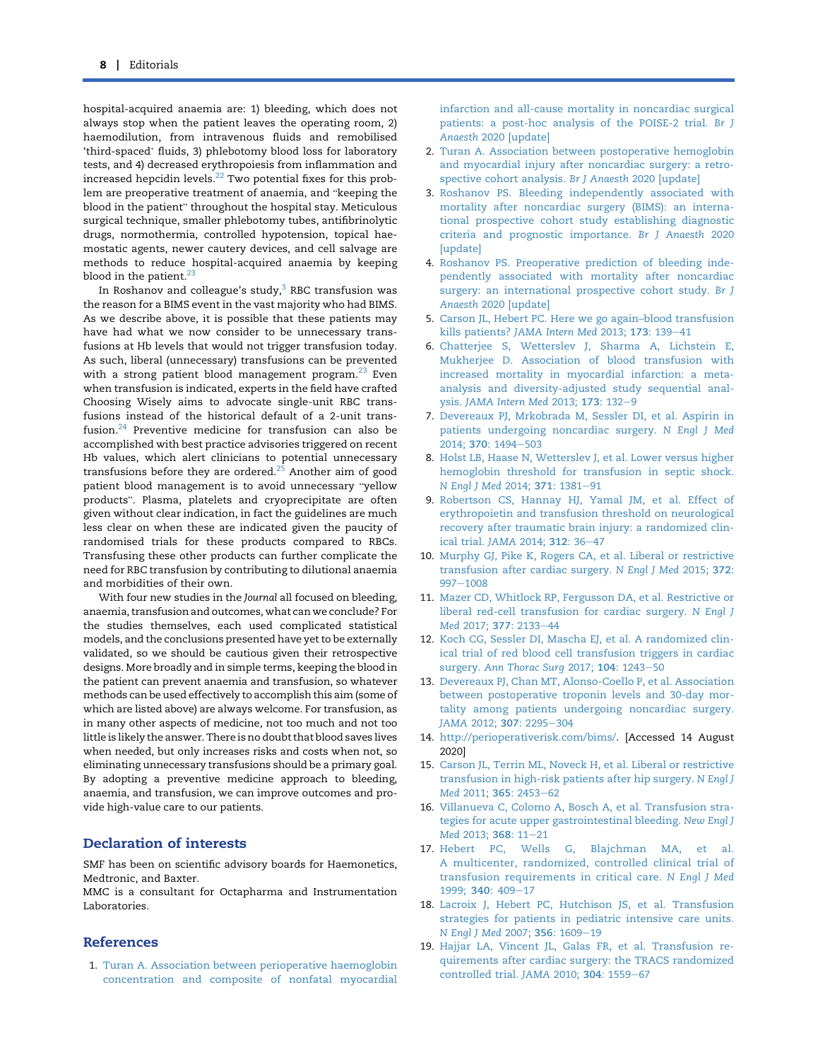hospital-acquired anaemia are: 1) bleeding, which does not always stop when the patient leaves the operating room, 2) haemodilution, from intravenous fluids and remobilised 'third-spaced' fluids, 3) phlebotomy blood loss for laboratory tests, and 4) decreased erythropoiesis from inflammation and increased hepcidin levels.[22](#page-4-2) Two potential fixes for this prob-lem are preoperative treatment of anaemia, and "keeping the lem are preoperative treatment of anaemia, and "keeping the blood in the patient" throughout the hospital stay. Meticulous surgical technique, smaller phlebotomy tubes, antifibrinolytic drugs, normothermia, controlled hypotension, topical haemostatic agents, newer cautery devices, and cell salvage are methods to reduce hospital-acquired anaemia by keeping blood in the patient. $23$ 

In Roshanov and colleague's study, $3$  RBC transfusion was the reason for a BIMS event in the vast majority who had BIMS. As we describe above, it is possible that these patients may have had what we now consider to be unnecessary transfusions at Hb levels that would not trigger transfusion today. As such, liberal (unnecessary) transfusions can be prevented with a strong patient blood management program. $^{23}$  $^{23}$  $^{23}$  Even when transfusion is indicated, experts in the field have crafted Choosing Wisely aims to advocate single-unit RBC transfusions instead of the historical default of a 2-unit transfusion.[24](#page-4-4) Preventive medicine for transfusion can also be accomplished with best practice advisories triggered on recent Hb values, which alert clinicians to potential unnecessary transfusions before they are ordered.[25](#page-4-5) Another aim of good patient blood management is to avoid unnecessary "yellow patient blood management is to avoid unnecessary "yellow<br>products". Plasma, platelets and cryoprecipitate are often given without clear indication, in fact the guidelines are much less clear on when these are indicated given the paucity of randomised trials for these products compared to RBCs. Transfusing these other products can further complicate the need for RBC transfusion by contributing to dilutional anaemia and morbidities of their own.

With four new studies in the Journal all focused on bleeding, anaemia, transfusion and outcomes, what can we conclude? For the studies themselves, each used complicated statistical models, and the conclusions presented have yet to be externally validated, so we should be cautious given their retrospective designs. More broadly and in simple terms, keeping the blood in the patient can prevent anaemia and transfusion, so whatever methods can be used effectively to accomplish this aim (some of which are listed above) are always welcome. For transfusion, as in many other aspects of medicine, not too much and not too little is likely the answer. There is no doubt that blood saves lives when needed, but only increases risks and costs when not, so eliminating unnecessary transfusions should be a primary goal. By adopting a preventive medicine approach to bleeding, anaemia, and transfusion, we can improve outcomes and provide high-value care to our patients.

### Declaration of interests

SMF has been on scientific advisory boards for Haemonetics, Medtronic, and Baxter.

MMC is a consultant for Octapharma and Instrumentation Laboratories.

#### References

<span id="page-3-0"></span>1. [Turan A. Association between perioperative haemoglobin](http://refhub.elsevier.com/S0007-0912(20)30747-9/sref1) [concentration and composite of nonfatal myocardial](http://refhub.elsevier.com/S0007-0912(20)30747-9/sref1)

[infarction and all-cause mortality in noncardiac surgical](http://refhub.elsevier.com/S0007-0912(20)30747-9/sref1) [patients: a post-hoc analysis of the POISE-2 trial.](http://refhub.elsevier.com/S0007-0912(20)30747-9/sref1) Br J Anaesth [2020 \[update\]](http://refhub.elsevier.com/S0007-0912(20)30747-9/sref1)

- <span id="page-3-3"></span>2. [Turan A. Association between postoperative hemoglobin](http://refhub.elsevier.com/S0007-0912(20)30747-9/sref2) [and myocardial injury after noncardiac surgery: a retro](http://refhub.elsevier.com/S0007-0912(20)30747-9/sref2)[spective cohort analysis.](http://refhub.elsevier.com/S0007-0912(20)30747-9/sref2) Br J Anaesth 2020 [update]
- <span id="page-3-4"></span>3. [Roshanov PS. Bleeding independently associated with](http://refhub.elsevier.com/S0007-0912(20)30747-9/sref3) [mortality after noncardiac surgery \(BIMS\): an interna](http://refhub.elsevier.com/S0007-0912(20)30747-9/sref3)[tional prospective cohort study establishing diagnostic](http://refhub.elsevier.com/S0007-0912(20)30747-9/sref3) [criteria and prognostic importance.](http://refhub.elsevier.com/S0007-0912(20)30747-9/sref3) Br J Anaesth 2020 [\[update\]](http://refhub.elsevier.com/S0007-0912(20)30747-9/sref3)
- <span id="page-3-5"></span>4. [Roshanov PS. Preoperative prediction of bleeding inde](http://refhub.elsevier.com/S0007-0912(20)30747-9/sref4)[pendently associated with mortality after noncardiac](http://refhub.elsevier.com/S0007-0912(20)30747-9/sref4) [surgery: an international prospective cohort study.](http://refhub.elsevier.com/S0007-0912(20)30747-9/sref4) Br J Anaesth [2020 \[update\]](http://refhub.elsevier.com/S0007-0912(20)30747-9/sref4)
- <span id="page-3-1"></span>5. [Carson JL, Hebert PC. Here we go again–blood transfusion](http://refhub.elsevier.com/S0007-0912(20)30747-9/sref5) kills patients? [JAMA Intern Med](http://refhub.elsevier.com/S0007-0912(20)30747-9/sref5) 2013;  $173: 139-41$  $173: 139-41$
- <span id="page-3-2"></span>6. [Chatterjee S, Wetterslev J, Sharma A, Lichstein E,](http://refhub.elsevier.com/S0007-0912(20)30747-9/sref6) [Mukherjee D. Association of blood transfusion with](http://refhub.elsevier.com/S0007-0912(20)30747-9/sref6) [increased mortality in myocardial infarction: a meta](http://refhub.elsevier.com/S0007-0912(20)30747-9/sref6)[analysis and diversity-adjusted study sequential anal-](http://refhub.elsevier.com/S0007-0912(20)30747-9/sref6)ysis. [JAMA Intern Med](http://refhub.elsevier.com/S0007-0912(20)30747-9/sref6) 2013; 173: 132-[9](http://refhub.elsevier.com/S0007-0912(20)30747-9/sref6)
- <span id="page-3-6"></span>7. [Devereaux PJ, Mrkobrada M, Sessler DI, et al. Aspirin in](http://refhub.elsevier.com/S0007-0912(20)30747-9/sref7) [patients undergoing noncardiac surgery.](http://refhub.elsevier.com/S0007-0912(20)30747-9/sref7) N Engl J Med 2014; 370[: 1494](http://refhub.elsevier.com/S0007-0912(20)30747-9/sref7)-[503](http://refhub.elsevier.com/S0007-0912(20)30747-9/sref7)
- <span id="page-3-7"></span>8. [Holst LB, Haase N, Wetterslev J, et al. Lower versus higher](http://refhub.elsevier.com/S0007-0912(20)30747-9/sref8) [hemoglobin threshold for transfusion in septic shock.](http://refhub.elsevier.com/S0007-0912(20)30747-9/sref8) [N Engl J Med](http://refhub.elsevier.com/S0007-0912(20)30747-9/sref8) 2014; 371: 1381-[91](http://refhub.elsevier.com/S0007-0912(20)30747-9/sref8)
- <span id="page-3-12"></span>9. [Robertson CS, Hannay HJ, Yamal JM, et al. Effect of](http://refhub.elsevier.com/S0007-0912(20)30747-9/sref9) [erythropoietin and transfusion threshold on neurological](http://refhub.elsevier.com/S0007-0912(20)30747-9/sref9) [recovery after traumatic brain injury: a randomized clin](http://refhub.elsevier.com/S0007-0912(20)30747-9/sref9)[ical trial.](http://refhub.elsevier.com/S0007-0912(20)30747-9/sref9) JAMA 2014; 312: 36-[47](http://refhub.elsevier.com/S0007-0912(20)30747-9/sref9)
- 10. [Murphy GJ, Pike K, Rogers CA, et al. Liberal or restrictive](http://refhub.elsevier.com/S0007-0912(20)30747-9/sref10) [transfusion after cardiac surgery.](http://refhub.elsevier.com/S0007-0912(20)30747-9/sref10) N Engl J Med 2015; 372: [997](http://refhub.elsevier.com/S0007-0912(20)30747-9/sref10)-[1008](http://refhub.elsevier.com/S0007-0912(20)30747-9/sref10)
- <span id="page-3-13"></span>11. [Mazer CD, Whitlock RP, Fergusson DA, et al. Restrictive or](http://refhub.elsevier.com/S0007-0912(20)30747-9/sref11) [liberal red-cell transfusion for cardiac surgery.](http://refhub.elsevier.com/S0007-0912(20)30747-9/sref11) N Engl J Med 2017; 377[: 2133](http://refhub.elsevier.com/S0007-0912(20)30747-9/sref11)-[44](http://refhub.elsevier.com/S0007-0912(20)30747-9/sref11)
- 12. [Koch CG, Sessler DI, Mascha EJ, et al. A randomized clin](http://refhub.elsevier.com/S0007-0912(20)30747-9/sref12)[ical trial of red blood cell transfusion triggers in cardiac](http://refhub.elsevier.com/S0007-0912(20)30747-9/sref12) surgery. [Ann Thorac Surg](http://refhub.elsevier.com/S0007-0912(20)30747-9/sref12) 2017; 104: 1243-[50](http://refhub.elsevier.com/S0007-0912(20)30747-9/sref12)
- <span id="page-3-9"></span>13. [Devereaux PJ, Chan MT, Alonso-Coello P, et al. Association](http://refhub.elsevier.com/S0007-0912(20)30747-9/sref13) [between postoperative troponin levels and 30-day mor](http://refhub.elsevier.com/S0007-0912(20)30747-9/sref13)[tality among patients undergoing noncardiac surgery.](http://refhub.elsevier.com/S0007-0912(20)30747-9/sref13) JAMA 2012; 307[: 2295](http://refhub.elsevier.com/S0007-0912(20)30747-9/sref13)-[304](http://refhub.elsevier.com/S0007-0912(20)30747-9/sref13)
- <span id="page-3-8"></span>14. [http://perioperativerisk.com/bims/.](http://perioperativerisk.com/bims/) [Accessed 14 August 2020]
- <span id="page-3-10"></span>15. [Carson JL, Terrin ML, Noveck H, et al. Liberal or restrictive](http://refhub.elsevier.com/S0007-0912(20)30747-9/sref15) [transfusion in high-risk patients after hip surgery.](http://refhub.elsevier.com/S0007-0912(20)30747-9/sref15) N Engl J Med 2011; 365[: 2453](http://refhub.elsevier.com/S0007-0912(20)30747-9/sref15)-[62](http://refhub.elsevier.com/S0007-0912(20)30747-9/sref15)
- <span id="page-3-11"></span>16. [Villanueva C, Colomo A, Bosch A, et al. Transfusion stra](http://refhub.elsevier.com/S0007-0912(20)30747-9/sref16)[tegies for acute upper gastrointestinal bleeding.](http://refhub.elsevier.com/S0007-0912(20)30747-9/sref16) New Engl J Med [2013;](http://refhub.elsevier.com/S0007-0912(20)30747-9/sref16) 368: 11-[21](http://refhub.elsevier.com/S0007-0912(20)30747-9/sref16)
- <span id="page-3-14"></span>17. [Hebert PC, Wells G, Blajchman MA, et al.](http://refhub.elsevier.com/S0007-0912(20)30747-9/sref17) [A multicenter, randomized, controlled clinical trial of](http://refhub.elsevier.com/S0007-0912(20)30747-9/sref17) [transfusion requirements in critical care.](http://refhub.elsevier.com/S0007-0912(20)30747-9/sref17) N Engl J Med 1999: 340: 409-[17](http://refhub.elsevier.com/S0007-0912(20)30747-9/sref17)
- 18. [Lacroix J, Hebert PC, Hutchison JS, et al. Transfusion](http://refhub.elsevier.com/S0007-0912(20)30747-9/sref18) [strategies for patients in pediatric intensive care units.](http://refhub.elsevier.com/S0007-0912(20)30747-9/sref18) [N Engl J Med](http://refhub.elsevier.com/S0007-0912(20)30747-9/sref18) 2007; 356: 1609-[19](http://refhub.elsevier.com/S0007-0912(20)30747-9/sref18)
- 19. [Hajjar LA, Vincent JL, Galas FR, et al. Transfusion re](http://refhub.elsevier.com/S0007-0912(20)30747-9/sref19)[quirements after cardiac surgery: the TRACS randomized](http://refhub.elsevier.com/S0007-0912(20)30747-9/sref19) [controlled trial.](http://refhub.elsevier.com/S0007-0912(20)30747-9/sref19) JAMA 2010; 304: 1559-[67](http://refhub.elsevier.com/S0007-0912(20)30747-9/sref19)